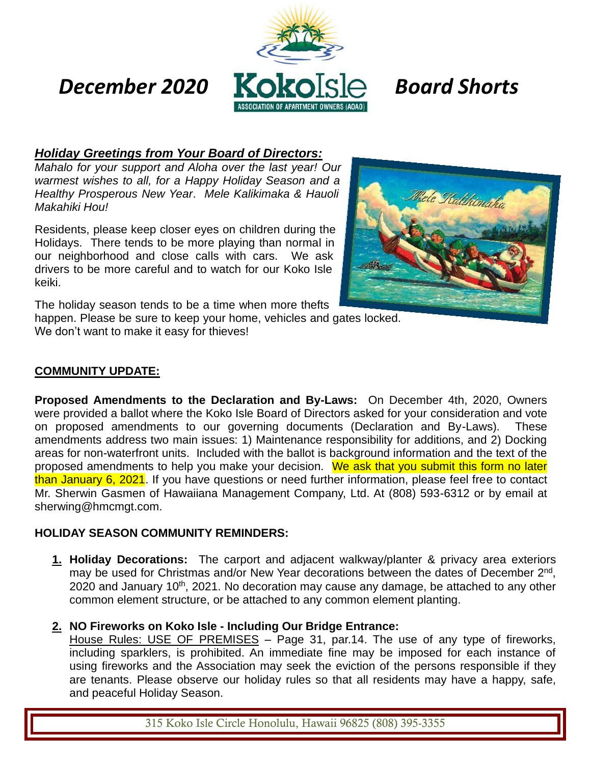

### *Holiday Greetings from Your Board of Directors:*

*Mahalo for your support and Aloha over the last year! Our warmest wishes to all, for a Happy Holiday Season and a Healthy Prosperous New Year*. *Mele Kalikimaka & Hauoli Makahiki Hou!*

Residents, please keep closer eyes on children during the Holidays. There tends to be more playing than normal in our neighborhood and close calls with cars. We ask drivers to be more careful and to watch for our Koko Isle keiki.



The holiday season tends to be a time when more thefts

happen. Please be sure to keep your home, vehicles and gates locked. We don't want to make it easy for thieves!

### **COMMUNITY UPDATE:**

**Proposed Amendments to the Declaration and By-Laws:** On December 4th, 2020, Owners were provided a ballot where the Koko Isle Board of Directors asked for your consideration and vote on proposed amendments to our governing documents (Declaration and By-Laws). These amendments address two main issues: 1) Maintenance responsibility for additions, and 2) Docking areas for non-waterfront units. Included with the ballot is background information and the text of the proposed amendments to help you make your decision. We ask that you submit this form no later than January 6, 2021. If you have questions or need further information, please feel free to contact Mr. Sherwin Gasmen of Hawaiiana Management Company, Ltd. At (808) 593-6312 or by email at sherwing@hmcmgt.com.

#### **HOLIDAY SEASON COMMUNITY REMINDERS:**

- **1. Holiday Decorations:** The carport and adjacent walkway/planter & privacy area exteriors may be used for Christmas and/or New Year decorations between the dates of December 2<sup>nd</sup>, 2020 and January 10<sup>th</sup>, 2021. No decoration may cause any damage, be attached to any other common element structure, or be attached to any common element planting.
- **2. NO Fireworks on Koko Isle - Including Our Bridge Entrance:**

House Rules: USE OF PREMISES - Page 31, par.14. The use of any type of fireworks, including sparklers, is prohibited. An immediate fine may be imposed for each instance of using fireworks and the Association may seek the eviction of the persons responsible if they are tenants. Please observe our holiday rules so that all residents may have a happy, safe, and peaceful Holiday Season.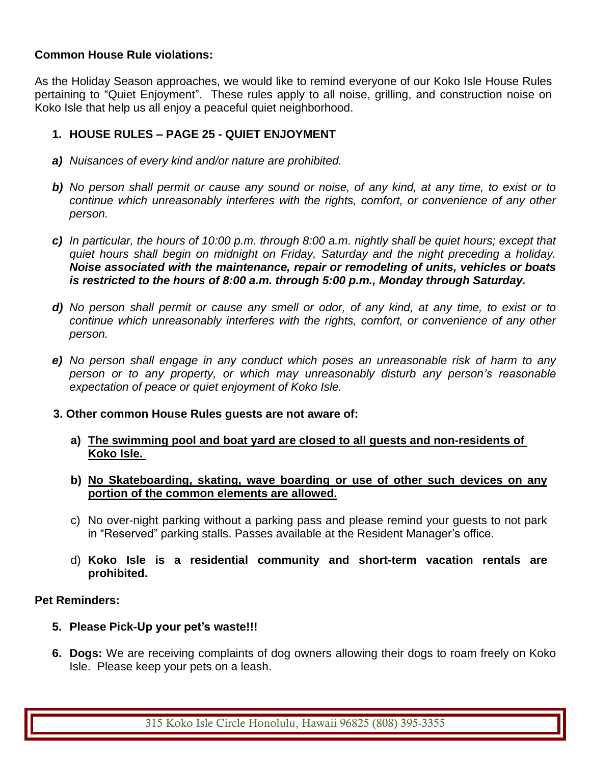#### **Common House Rule violations:**

As the Holiday Season approaches, we would like to remind everyone of our Koko Isle House Rules pertaining to "Quiet Enjoyment". These rules apply to all noise, grilling, and construction noise on Koko Isle that help us all enjoy a peaceful quiet neighborhood.

#### **1. HOUSE RULES – PAGE 25 - QUIET ENJOYMENT**

- *a) Nuisances of every kind and/or nature are prohibited.*
- *b) No person shall permit or cause any sound or noise, of any kind, at any time, to exist or to continue which unreasonably interferes with the rights, comfort, or convenience of any other person.*
- *c) In particular, the hours of 10:00 p.m. through 8:00 a.m. nightly shall be quiet hours; except that quiet hours shall begin on midnight on Friday, Saturday and the night preceding a holiday. Noise associated with the maintenance, repair or remodeling of units, vehicles or boats is restricted to the hours of 8:00 a.m. through 5:00 p.m., Monday through Saturday.*
- *d) No person shall permit or cause any smell or odor, of any kind, at any time, to exist or to continue which unreasonably interferes with the rights, comfort, or convenience of any other person.*
- *e) No person shall engage in any conduct which poses an unreasonable risk of harm to any person or to any property, or which may unreasonably disturb any person's reasonable expectation of peace or quiet enjoyment of Koko Isle.*
- **3. Other common House Rules guests are not aware of:**
	- **a) The swimming pool and boat yard are closed to all guests and non-residents of Koko Isle.**
	- **b) No Skateboarding, skating, wave boarding or use of other such devices on any portion of the common elements are allowed.**
	- c) No over-night parking without a parking pass and please remind your guests to not park in "Reserved" parking stalls. Passes available at the Resident Manager's office.
	- d) **Koko Isle is a residential community and short-term vacation rentals are prohibited.**

#### **Pet Reminders:**

- **5. Please Pick-Up your pet's waste!!!**
- **6. Dogs:** We are receiving complaints of dog owners allowing their dogs to roam freely on Koko Isle. Please keep your pets on a leash.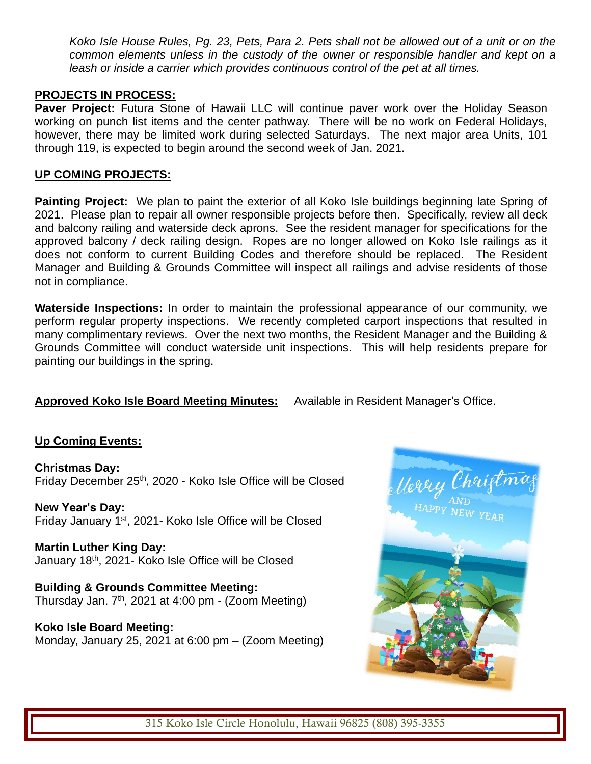*Koko Isle House Rules, Pg. 23, Pets, Para 2. Pets shall not be allowed out of a unit or on the common elements unless in the custody of the owner or responsible handler and kept on a leash or inside a carrier which provides continuous control of the pet at all times.*

#### **PROJECTS IN PROCESS:**

**Paver Project:** Futura Stone of Hawaii LLC will continue paver work over the Holiday Season working on punch list items and the center pathway. There will be no work on Federal Holidays, however, there may be limited work during selected Saturdays. The next major area Units, 101 through 119, is expected to begin around the second week of Jan. 2021.

#### **UP COMING PROJECTS:**

**Painting Project:** We plan to paint the exterior of all Koko Isle buildings beginning late Spring of 2021. Please plan to repair all owner responsible projects before then. Specifically, review all deck and balcony railing and waterside deck aprons. See the resident manager for specifications for the approved balcony / deck railing design. Ropes are no longer allowed on Koko Isle railings as it does not conform to current Building Codes and therefore should be replaced. The Resident Manager and Building & Grounds Committee will inspect all railings and advise residents of those not in compliance.

**Waterside Inspections:** In order to maintain the professional appearance of our community, we perform regular property inspections. We recently completed carport inspections that resulted in many complimentary reviews. Over the next two months, the Resident Manager and the Building & Grounds Committee will conduct waterside unit inspections. This will help residents prepare for painting our buildings in the spring.

#### **Approved Koko Isle Board Meeting Minutes:** Available in Resident Manager's Office.

#### **Up Coming Events:**

**Christmas Day:**  Friday December 25<sup>th</sup>, 2020 - Koko Isle Office will be Closed

**New Year's Day:**  Friday January 1st, 2021- Koko Isle Office will be Closed

**Martin Luther King Day:** January 18th, 2021- Koko Isle Office will be Closed

**Building & Grounds Committee Meeting:** Thursday Jan.  $7<sup>th</sup>$ , 2021 at 4:00 pm - (Zoom Meeting)

**Koko Isle Board Meeting:** Monday, January 25, 2021 at 6:00 pm – (Zoom Meeting)